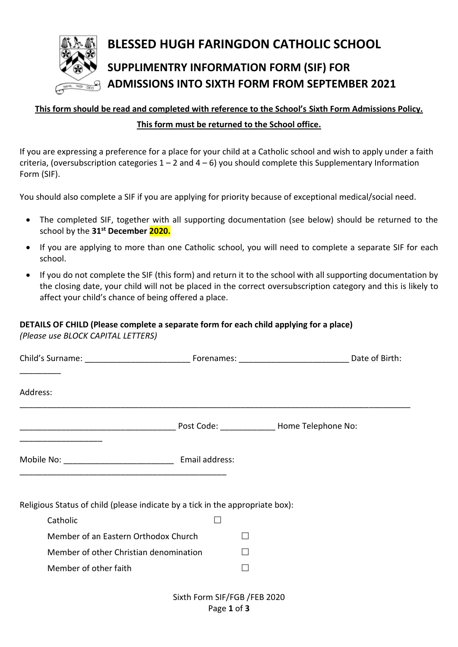

## **BLESSED HUGH FARINGDON CATHOLIC SCHOOL SUPPLIMENTRY INFORMATION FORM (SIF) FOR ADMISSIONS INTO SIXTH FORM FROM SEPTEMBER 2021**

# **This form should be read and completed with reference to the School's Sixth Form Admissions Policy.**

## **This form must be returned to the School office.**

If you are expressing a preference for a place for your child at a Catholic school and wish to apply under a faith criteria, (oversubscription categories  $1 - 2$  and  $4 - 6$ ) you should complete this Supplementary Information Form (SIF).

You should also complete a SIF if you are applying for priority because of exceptional medical/social need.

- The completed SIF, together with all supporting documentation (see below) should be returned to the school by the **31st December 2020.**
- If you are applying to more than one Catholic school, you will need to complete a separate SIF for each school.
- If you do not complete the SIF (this form) and return it to the school with all supporting documentation by the closing date, your child will not be placed in the correct oversubscription category and this is likely to affect your child's chance of being offered a place.

## **DETAILS OF CHILD (Please complete a separate form for each child applying for a place)** *(Please use BLOCK CAPITAL LETTERS)*

Member of other faith  $\square$ 

| Address:                                                                                                              |  |  |  |
|-----------------------------------------------------------------------------------------------------------------------|--|--|--|
| <u> 1980 - Jan James James Jan James James Jan James James Jan James James Jan James James Jan Jan James James Ja</u> |  |  |  |
|                                                                                                                       |  |  |  |
| Religious Status of child (please indicate by a tick in the appropriate box):                                         |  |  |  |
| Catholic                                                                                                              |  |  |  |
| Member of an Eastern Orthodox Church                                                                                  |  |  |  |
| Member of other Christian denomination                                                                                |  |  |  |

Sixth Form SIF/FGB /FEB 2020 Page **1** of **3**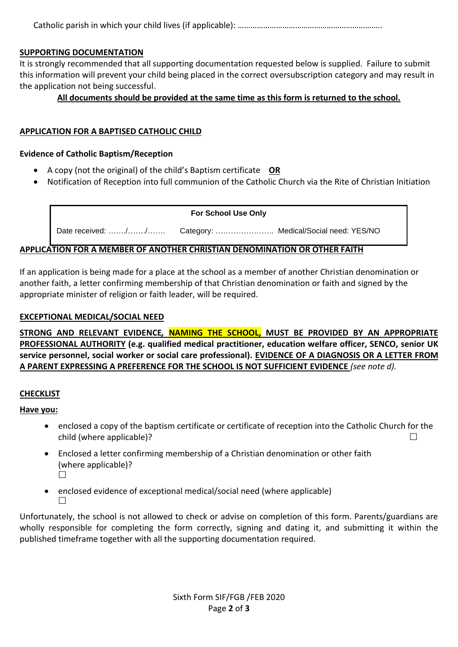Catholic parish in which your child lives (if applicable): …………………………………………………………..

#### **SUPPORTING DOCUMENTATION**

It is strongly recommended that all supporting documentation requested below is supplied. Failure to submit this information will prevent your child being placed in the correct oversubscription category and may result in the application not being successful**.**

### **All documents should be provided at the same time as this form is returned to the school.**

#### **APPLICATION FOR A BAPTISED CATHOLIC CHILD**

#### **Evidence of Catholic Baptism/Reception**

- A copy (not the original) of the child's Baptism certificate **OR**
- Notification of Reception into full communion of the Catholic Church via the Rite of Christian Initiation

#### **For School Use Only**

Date received: ......./......./....... Category: .......................... Medical/Social need: YES/NO

#### **APPLICATION FOR A MEMBER OF ANOTHER CHRISTIAN DENOMINATION OR OTHER FAITH**

If an application is being made for a place at the school as a member of another Christian denomination or another faith, a letter confirming membership of that Christian denomination or faith and signed by the appropriate minister of religion or faith leader, will be required.

#### **EXCEPTIONAL MEDICAL/SOCIAL NEED**

**STRONG AND RELEVANT EVIDENCE***,* **NAMING THE SCHOOL, MUST BE PROVIDED BY AN APPROPRIATE PROFESSIONAL AUTHORITY (e.g. qualified medical practitioner, education welfare officer, SENCO, senior UK service personnel, social worker or social care professional). EVIDENCE OF A DIAGNOSIS OR A LETTER FROM A PARENT EXPRESSING A PREFERENCE FOR THE SCHOOL IS NOT SUFFICIENT EVIDENCE** *(see note d).* 

#### **CHECKLIST**

#### **Have you:**

- enclosed a copy of the baptism certificate or certificate of reception into the Catholic Church for the child (where applicable)?
- Enclosed a letter confirming membership of a Christian denomination or other faith (where applicable)?  $\Box$
- enclosed evidence of exceptional medical/social need (where applicable)  $\Box$

Unfortunately, the school is not allowed to check or advise on completion of this form. Parents/guardians are wholly responsible for completing the form correctly, signing and dating it, and submitting it within the published timeframe together with all the supporting documentation required.